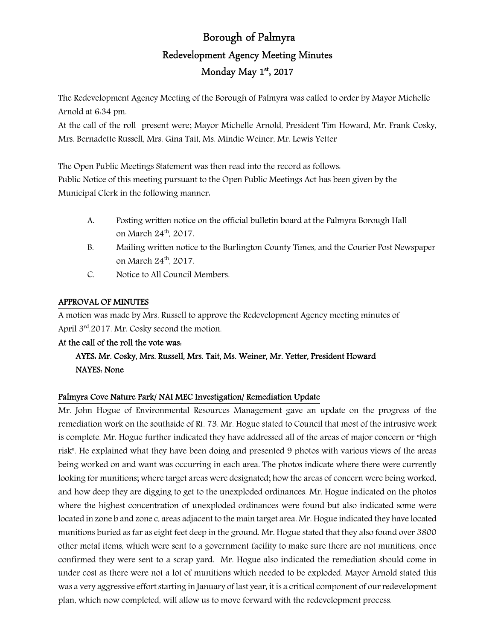# Borough of Palmyra Redevelopment Agency Meeting Minutes Monday May 1st, 2017

The Redevelopment Agency Meeting of the Borough of Palmyra was called to order by Mayor Michelle Arnold at 6:34 pm.

At the call of the roll present were; Mayor Michelle Arnold, President Tim Howard, Mr. Frank Cosky, Mrs. Bernadette Russell, Mrs. Gina Tait, Ms. Mindie Weiner, Mr. Lewis Yetter

The Open Public Meetings Statement was then read into the record as follows: Public Notice of this meeting pursuant to the Open Public Meetings Act has been given by the Municipal Clerk in the following manner:

- A. Posting written notice on the official bulletin board at the Palmyra Borough Hall on March 24<sup>th</sup>, 2017.
- B. Mailing written notice to the Burlington County Times, and the Courier Post Newspaper on March 24th, 2017.
- C. Notice to All Council Members.

## APPROVAL OF MINUTES

A motion was made by Mrs. Russell to approve the Redevelopment Agency meeting minutes of April 3rd.2017. Mr. Cosky second the motion.

## At the call of the roll the vote was:

## AYES: Mr. Cosky, Mrs. Russell, Mrs. Tait, Ms. Weiner, Mr. Yetter, President Howard NAYES: None

## Palmyra Cove Nature Park/ NAI MEC Investigation/ Remediation Update

Mr. John Hogue of Environmental Resources Management gave an update on the progress of the remediation work on the southside of Rt. 73. Mr. Hogue stated to Council that most of the intrusive work is complete. Mr. Hogue further indicated they have addressed all of the areas of major concern or "high risk". He explained what they have been doing and presented 9 photos with various views of the areas being worked on and want was occurring in each area. The photos indicate where there were currently looking for munitions; where target areas were designated; how the areas of concern were being worked, and how deep they are digging to get to the unexploded ordinances. Mr. Hogue indicated on the photos where the highest concentration of unexploded ordinances were found but also indicated some were located in zone b and zone c, areas adjacent to the main target area. Mr. Hogue indicated they have located munitions buried as far as eight feet deep in the ground. Mr. Hogue stated that they also found over 3800 other metal items, which were sent to a government facility to make sure there are not munitions, once confirmed they were sent to a scrap yard. Mr. Hogue also indicated the remediation should come in under cost as there were not a lot of munitions which needed to be exploded. Mayor Arnold stated this was a very aggressive effort starting in January of last year, it is a critical component of our redevelopment plan, which now completed, will allow us to move forward with the redevelopment process.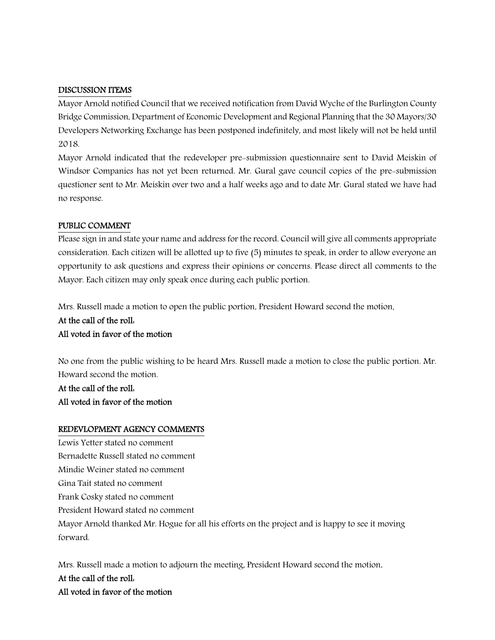#### DISCUSSION ITEMS

Mayor Arnold notified Council that we received notification from David Wyche of the Burlington County Bridge Commission, Department of Economic Development and Regional Planning that the 30 Mayors/30 Developers Networking Exchange has been postponed indefinitely, and most likely will not be held until 2018.

Mayor Arnold indicated that the redeveloper pre-submission questionnaire sent to David Meiskin of Windsor Companies has not yet been returned. Mr. Gural gave council copies of the pre-submission questioner sent to Mr. Meiskin over two and a half weeks ago and to date Mr. Gural stated we have had no response.

#### PUBLIC COMMENT

Please sign in and state your name and address for the record. Council will give all comments appropriate consideration. Each citizen will be allotted up to five (5) minutes to speak, in order to allow everyone an opportunity to ask questions and express their opinions or concerns. Please direct all comments to the Mayor. Each citizen may only speak once during each public portion.

Mrs. Russell made a motion to open the public portion, President Howard second the motion.

At the call of the roll: All voted in favor of the motion

No one from the public wishing to be heard Mrs. Russell made a motion to close the public portion. Mr. Howard second the motion.

At the call of the roll: All voted in favor of the motion

#### REDEVLOPMENT AGENCY COMMENTS

Lewis Yetter stated no comment Bernadette Russell stated no comment Mindie Weiner stated no comment Gina Tait stated no comment Frank Cosky stated no comment President Howard stated no comment Mayor Arnold thanked Mr. Hogue for all his efforts on the project and is happy to see it moving forward.

Mrs. Russell made a motion to adjourn the meeting, President Howard second the motion. At the call of the roll: All voted in favor of the motion